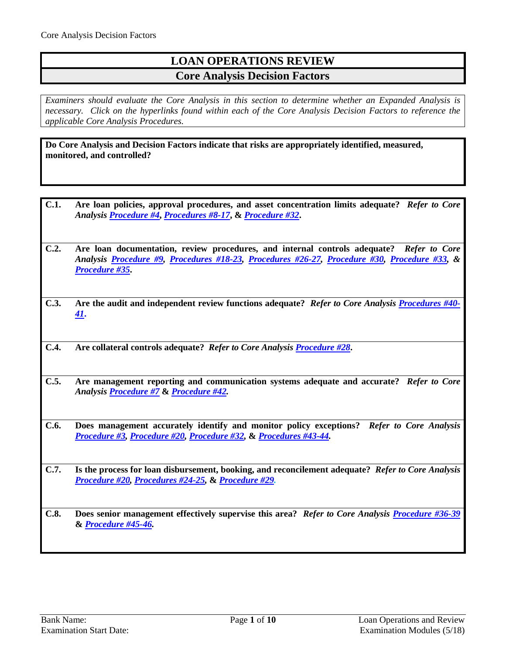# **LOAN OPERATIONS REVIEW Core Analysis Decision Factors**

*Examiners should evaluate the Core Analysis in this section to determine whether an Expanded Analysis is necessary. Click on the hyperlinks found within each of the Core Analysis Decision Factors to reference the applicable Core Analysis Procedures.*

**Do Core Analysis and Decision Factors indicate that risks are appropriately identified, measured, monitored, and controlled?**

- **C.1. Are loan policies, approval procedures, and asset concentration limits adequate?** *Refer to Core Analysis [Procedure #4](#page-1-0)***,** *[Procedures #8-17](#page-2-0)***, &** *[Procedure #32](#page-6-0)***.**
- **C.2. Are loan documentation, review procedures, and internal controls adequate?** *Refer to Core Analysis [Procedure #9,](#page-3-0) [Procedures #18-23,](#page-4-0) [Procedures #26-27,](#page-5-0) [Procedure #30,](#page-6-1) [Procedure #33,](#page-6-2) & [Procedure #35](#page-6-3)***.**
- **C.3. Are the audit and independent review functions adequate?** *Refer to Core Analysis [Procedures #40-](#page-7-0) [41](#page-7-0)***.**
- **C.4. Are collateral controls adequate?** *Refer to Core Analysi[s Procedure #28](#page-5-1)***.**
- **C.5. Are management reporting and communication systems adequate and accurate?** *Refer to Core Analysis [Procedure #7](#page-1-1)* **&** *[Procedure #42.](#page-8-0)*
- **C.6. Does management accurately identify and monitor policy exceptions?** *Refer to Core Analysis [Procedure #3,](#page-1-2) [Procedure #20,](#page-4-1) [Procedure #32,](#page-6-0)* **&** *[Procedures #43-44.](#page-8-1)*
- **C.7. Is the process for loan disbursement, booking, and reconcilement adequate?** *Refer to Core Analysis [Procedure #20,](#page-4-1) [Procedures #24-25,](#page-5-2)* **&** *[Procedure #29.](#page-5-3)*
- **C.8. Does senior management effectively supervise this area?** *Refer to Core Analysis [Procedure #36-39](#page-7-1)* **&** *[Procedure #45-46.](#page-9-0)*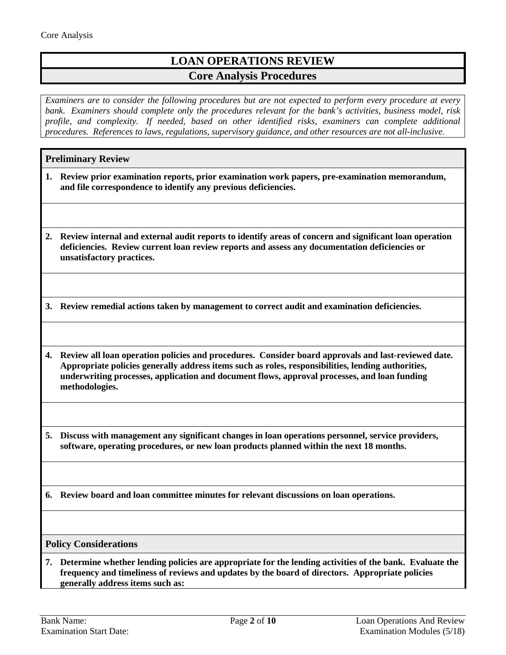# **LOAN OPERATIONS REVIEW Core Analysis Procedures**

*Examiners are to consider the following procedures but are not expected to perform every procedure at every bank. Examiners should complete only the procedures relevant for the bank's activities, business model, risk profile, and complexity. If needed, based on other identified risks, examiners can complete additional procedures. References to laws, regulations, supervisory guidance, and other resources are not all-inclusive.*

## **Preliminary Review**

- **1. Review prior examination reports, prior examination work papers, pre-examination memorandum, and file correspondence to identify any previous deficiencies.**
- **2. Review internal and external audit reports to identify areas of concern and significant loan operation deficiencies. Review current loan review reports and assess any documentation deficiencies or unsatisfactory practices.**

<span id="page-1-2"></span>**3. Review remedial actions taken by management to correct audit and examination deficiencies.**

<span id="page-1-0"></span>**4. Review all loan operation policies and procedures. Consider board approvals and last-reviewed date. Appropriate policies generally address items such as roles, responsibilities, lending authorities, underwriting processes, application and document flows, approval processes, and loan funding methodologies.**

**5. Discuss with management any significant changes in loan operations personnel, service providers, software, operating procedures, or new loan products planned within the next 18 months.**

**6. Review board and loan committee minutes for relevant discussions on loan operations.**

### **Policy Considerations**

<span id="page-1-1"></span>**7. Determine whether lending policies are appropriate for the lending activities of the bank. Evaluate the frequency and timeliness of reviews and updates by the board of directors. Appropriate policies generally address items such as:**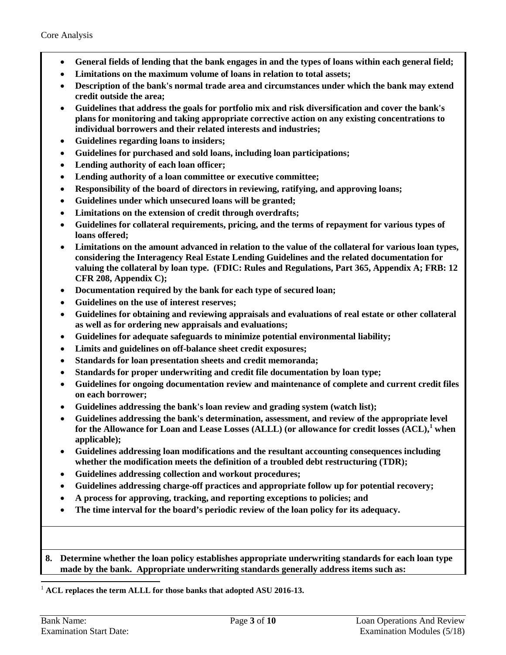- **General fields of lending that the bank engages in and the types of loans within each general field;**
- **Limitations on the maximum volume of loans in relation to total assets;**
- **Description of the bank's normal trade area and circumstances under which the bank may extend credit outside the area;**
- **Guidelines that address the goals for portfolio mix and risk diversification and cover the bank's plans for monitoring and taking appropriate corrective action on any existing concentrations to individual borrowers and their related interests and industries;**
- **Guidelines regarding loans to insiders;**
- **Guidelines for purchased and sold loans, including loan participations;**
- **Lending authority of each loan officer;**
- **Lending authority of a loan committee or executive committee;**
- **Responsibility of the board of directors in reviewing, ratifying, and approving loans;**
- **Guidelines under which unsecured loans will be granted;**
- **Limitations on the extension of credit through overdrafts;**
- **Guidelines for collateral requirements, pricing, and the terms of repayment for various types of loans offered;**
- **Limitations on the amount advanced in relation to the value of the collateral for various loan types, considering the Interagency Real Estate Lending Guidelines and the related documentation for valuing the collateral by loan type. (FDIC: Rules and Regulations, Part 365, Appendix A; FRB: 12 CFR 208, Appendix C);**
- **Documentation required by the bank for each type of secured loan;**
- **Guidelines on the use of interest reserves;**
- **Guidelines for obtaining and reviewing appraisals and evaluations of real estate or other collateral as well as for ordering new appraisals and evaluations;**
- **Guidelines for adequate safeguards to minimize potential environmental liability;**
- **Limits and guidelines on off-balance sheet credit exposures;**
- **Standards for loan presentation sheets and credit memoranda;**
- **Standards for proper underwriting and credit file documentation by loan type;**
- **Guidelines for ongoing documentation review and maintenance of complete and current credit files on each borrower;**
- **Guidelines addressing the bank's loan review and grading system (watch list);**
- **Guidelines addressing the bank's determination, assessment, and review of the appropriate level for the Allowance for Loan and Lease Losses (ALLL) (or allowance for credit losses (ACL),[1](#page-2-1) when applicable);**
- **Guidelines addressing loan modifications and the resultant accounting consequences including whether the modification meets the definition of a troubled debt restructuring (TDR);**
- **Guidelines addressing collection and workout procedures;**
- **Guidelines addressing charge-off practices and appropriate follow up for potential recovery;**
- **A process for approving, tracking, and reporting exceptions to policies; and**
- **The time interval for the board's periodic review of the loan policy for its adequacy.**
- <span id="page-2-0"></span>**8. Determine whether the loan policy establishes appropriate underwriting standards for each loan type made by the bank. Appropriate underwriting standards generally address items such as:**

### <span id="page-2-1"></span>1 **ACL replaces the term ALLL for those banks that adopted ASU 2016-13.**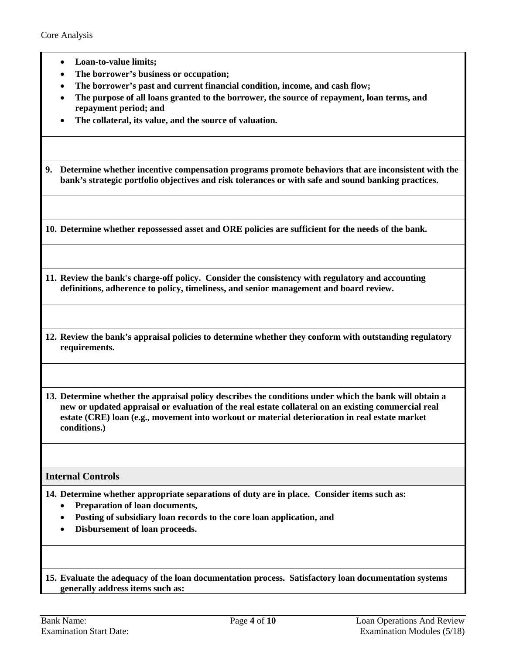- **Loan-to-value limits;**
- **The borrower's business or occupation;**
- **The borrower's past and current financial condition, income, and cash flow;**
- **The purpose of all loans granted to the borrower, the source of repayment, loan terms, and repayment period; and**
- **The collateral, its value, and the source of valuation.**

<span id="page-3-0"></span>**9. Determine whether incentive compensation programs promote behaviors that are inconsistent with the bank's strategic portfolio objectives and risk tolerances or with safe and sound banking practices.**

**10. Determine whether repossessed asset and ORE policies are sufficient for the needs of the bank.**

**11. Review the bank's charge-off policy. Consider the consistency with regulatory and accounting definitions, adherence to policy, timeliness, and senior management and board review.**

**12. Review the bank's appraisal policies to determine whether they conform with outstanding regulatory requirements.**

**13. Determine whether the appraisal policy describes the conditions under which the bank will obtain a new or updated appraisal or evaluation of the real estate collateral on an existing commercial real estate (CRE) loan (e.g., movement into workout or material deterioration in real estate market conditions.)**

### **Internal Controls**

**14. Determine whether appropriate separations of duty are in place. Consider items such as:**

- **Preparation of loan documents,**
- **Posting of subsidiary loan records to the core loan application, and**
- **Disbursement of loan proceeds.**

**15. Evaluate the adequacy of the loan documentation process. Satisfactory loan documentation systems generally address items such as:**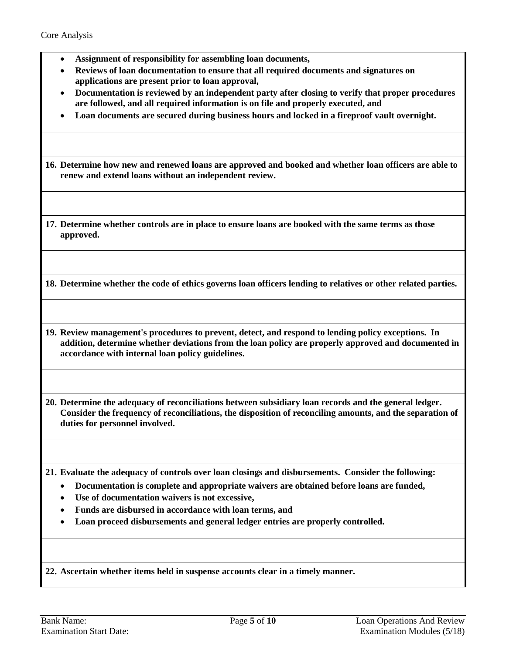- **Assignment of responsibility for assembling loan documents,**
- **Reviews of loan documentation to ensure that all required documents and signatures on applications are present prior to loan approval,**
- **Documentation is reviewed by an independent party after closing to verify that proper procedures are followed, and all required information is on file and properly executed, and**
- **Loan documents are secured during business hours and locked in a fireproof vault overnight.**

**16. Determine how new and renewed loans are approved and booked and whether loan officers are able to renew and extend loans without an independent review.**

**17. Determine whether controls are in place to ensure loans are booked with the same terms as those approved.**

<span id="page-4-0"></span>**18. Determine whether the code of ethics governs loan officers lending to relatives or other related parties.**

**19. Review management's procedures to prevent, detect, and respond to lending policy exceptions. In addition, determine whether deviations from the loan policy are properly approved and documented in accordance with internal loan policy guidelines.**

<span id="page-4-1"></span>**20. Determine the adequacy of reconciliations between subsidiary loan records and the general ledger. Consider the frequency of reconciliations, the disposition of reconciling amounts, and the separation of duties for personnel involved.**

**21. Evaluate the adequacy of controls over loan closings and disbursements. Consider the following:**

- **Documentation is complete and appropriate waivers are obtained before loans are funded,**
- **Use of documentation waivers is not excessive,**
- **Funds are disbursed in accordance with loan terms, and**
- **Loan proceed disbursements and general ledger entries are properly controlled.**

**22. Ascertain whether items held in suspense accounts clear in a timely manner.**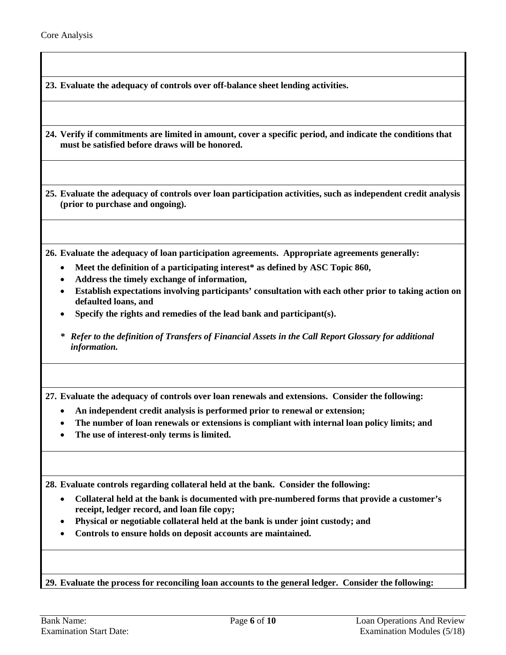**23. Evaluate the adequacy of controls over off-balance sheet lending activities.**

<span id="page-5-2"></span>**24. Verify if commitments are limited in amount, cover a specific period, and indicate the conditions that must be satisfied before draws will be honored.**

**25. Evaluate the adequacy of controls over loan participation activities, such as independent credit analysis (prior to purchase and ongoing).**

<span id="page-5-0"></span>**26. Evaluate the adequacy of loan participation agreements. Appropriate agreements generally:**

- **Meet the definition of a participating interest\* as defined by ASC Topic 860,**
- **Address the timely exchange of information,**
- **Establish expectations involving participants' consultation with each other prior to taking action on defaulted loans, and**
- **Specify the rights and remedies of the lead bank and participant(s).**
- *\* Refer to the definition of Transfers of Financial Assets in the Call Report Glossary for additional information.*

**27. Evaluate the adequacy of controls over loan renewals and extensions. Consider the following:**

- **An independent credit analysis is performed prior to renewal or extension;**
- **The number of loan renewals or extensions is compliant with internal loan policy limits; and**
- **The use of interest-only terms is limited.**

<span id="page-5-1"></span>**28. Evaluate controls regarding collateral held at the bank. Consider the following:**

- **Collateral held at the bank is documented with pre-numbered forms that provide a customer's receipt, ledger record, and loan file copy;**
- **Physical or negotiable collateral held at the bank is under joint custody; and**
- **Controls to ensure holds on deposit accounts are maintained.**

<span id="page-5-3"></span>**29. Evaluate the process for reconciling loan accounts to the general ledger. Consider the following:**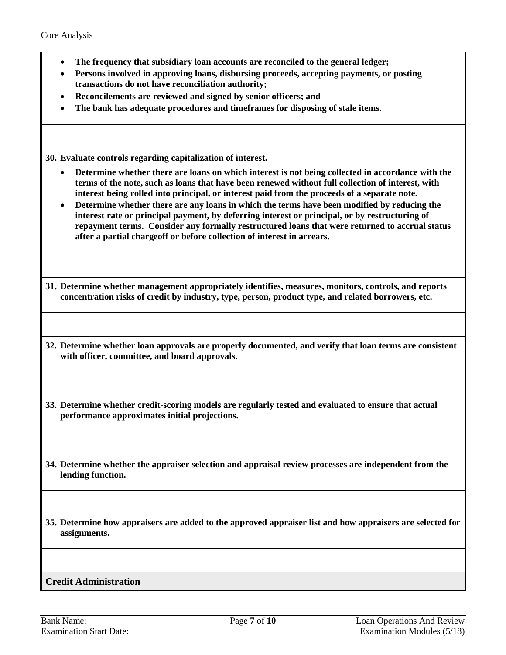- **The frequency that subsidiary loan accounts are reconciled to the general ledger;**
- **Persons involved in approving loans, disbursing proceeds, accepting payments, or posting transactions do not have reconciliation authority;**
- **Reconcilements are reviewed and signed by senior officers; and**
- **The bank has adequate procedures and timeframes for disposing of stale items.**

<span id="page-6-1"></span>**30. Evaluate controls regarding capitalization of interest.**

- **Determine whether there are loans on which interest is not being collected in accordance with the terms of the note, such as loans that have been renewed without full collection of interest, with interest being rolled into principal, or interest paid from the proceeds of a separate note.**
- **Determine whether there are any loans in which the terms have been modified by reducing the interest rate or principal payment, by deferring interest or principal, or by restructuring of repayment terms. Consider any formally restructured loans that were returned to accrual status after a partial chargeoff or before collection of interest in arrears.**

**31. Determine whether management appropriately identifies, measures, monitors, controls, and reports concentration risks of credit by industry, type, person, product type, and related borrowers, etc.**

<span id="page-6-0"></span>**32. Determine whether loan approvals are properly documented, and verify that loan terms are consistent with officer, committee, and board approvals.**

<span id="page-6-2"></span>**33. Determine whether credit-scoring models are regularly tested and evaluated to ensure that actual performance approximates initial projections.**

**34. Determine whether the appraiser selection and appraisal review processes are independent from the lending function.**

<span id="page-6-3"></span>**35. Determine how appraisers are added to the approved appraiser list and how appraisers are selected for assignments.**

## **Credit Administration**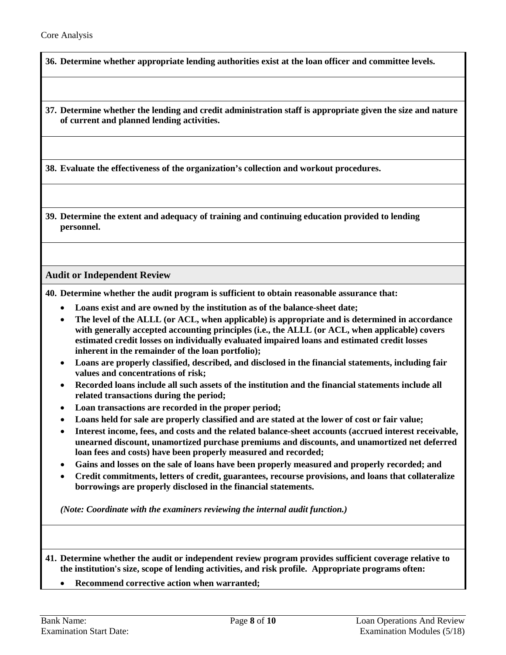<span id="page-7-1"></span>**36. Determine whether appropriate lending authorities exist at the loan officer and committee levels.**

**37. Determine whether the lending and credit administration staff is appropriate given the size and nature of current and planned lending activities.**

**38. Evaluate the effectiveness of the organization's collection and workout procedures.**

**39. Determine the extent and adequacy of training and continuing education provided to lending personnel.**

**Audit or Independent Review**

<span id="page-7-0"></span>**40. Determine whether the audit program is sufficient to obtain reasonable assurance that:**

- **Loans exist and are owned by the institution as of the balance-sheet date;**
- **The level of the ALLL (or ACL, when applicable) is appropriate and is determined in accordance with generally accepted accounting principles (i.e., the ALLL (or ACL, when applicable) covers estimated credit losses on individually evaluated impaired loans and estimated credit losses inherent in the remainder of the loan portfolio);**
- **Loans are properly classified, described, and disclosed in the financial statements, including fair values and concentrations of risk;**
- **Recorded loans include all such assets of the institution and the financial statements include all related transactions during the period;**
- **Loan transactions are recorded in the proper period;**
- **Loans held for sale are properly classified and are stated at the lower of cost or fair value;**
- **Interest income, fees, and costs and the related balance-sheet accounts (accrued interest receivable, unearned discount, unamortized purchase premiums and discounts, and unamortized net deferred loan fees and costs) have been properly measured and recorded;**
- **Gains and losses on the sale of loans have been properly measured and properly recorded; and**
- **Credit commitments, letters of credit, guarantees, recourse provisions, and loans that collateralize borrowings are properly disclosed in the financial statements.**

*(Note: Coordinate with the examiners reviewing the internal audit function.)*

**41. Determine whether the audit or independent review program provides sufficient coverage relative to the institution's size, scope of lending activities, and risk profile. Appropriate programs often:**

• **Recommend corrective action when warranted;**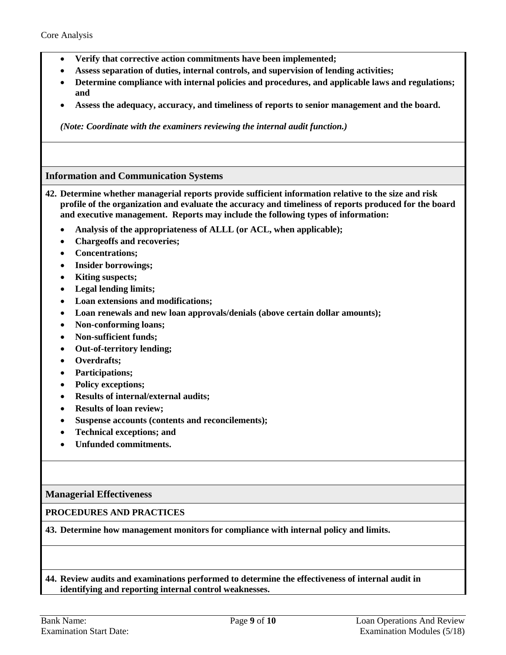- **Verify that corrective action commitments have been implemented;**
- **Assess separation of duties, internal controls, and supervision of lending activities;**
- **Determine compliance with internal policies and procedures, and applicable laws and regulations; and**
- **Assess the adequacy, accuracy, and timeliness of reports to senior management and the board.**

*(Note: Coordinate with the examiners reviewing the internal audit function.)*

## **Information and Communication Systems**

- <span id="page-8-0"></span>**42. Determine whether managerial reports provide sufficient information relative to the size and risk profile of the organization and evaluate the accuracy and timeliness of reports produced for the board and executive management. Reports may include the following types of information:**
	- **Analysis of the appropriateness of ALLL (or ACL, when applicable);**
	- **Chargeoffs and recoveries;**
	- **Concentrations;**
	- **Insider borrowings;**
	- **Kiting suspects;**
	- **Legal lending limits;**
	- **Loan extensions and modifications;**
	- **Loan renewals and new loan approvals/denials (above certain dollar amounts);**
	- **Non-conforming loans;**
	- **Non-sufficient funds;**
	- **Out-of-territory lending;**
	- **Overdrafts;**
	- **Participations;**
	- **Policy exceptions;**
	- **Results of internal/external audits;**
	- **Results of loan review;**
	- **Suspense accounts (contents and reconcilements);**
	- **Technical exceptions; and**
	- **Unfunded commitments.**

### **Managerial Effectiveness**

### **PROCEDURES AND PRACTICES**

<span id="page-8-1"></span>**43. Determine how management monitors for compliance with internal policy and limits.**

## **44. Review audits and examinations performed to determine the effectiveness of internal audit in identifying and reporting internal control weaknesses.**